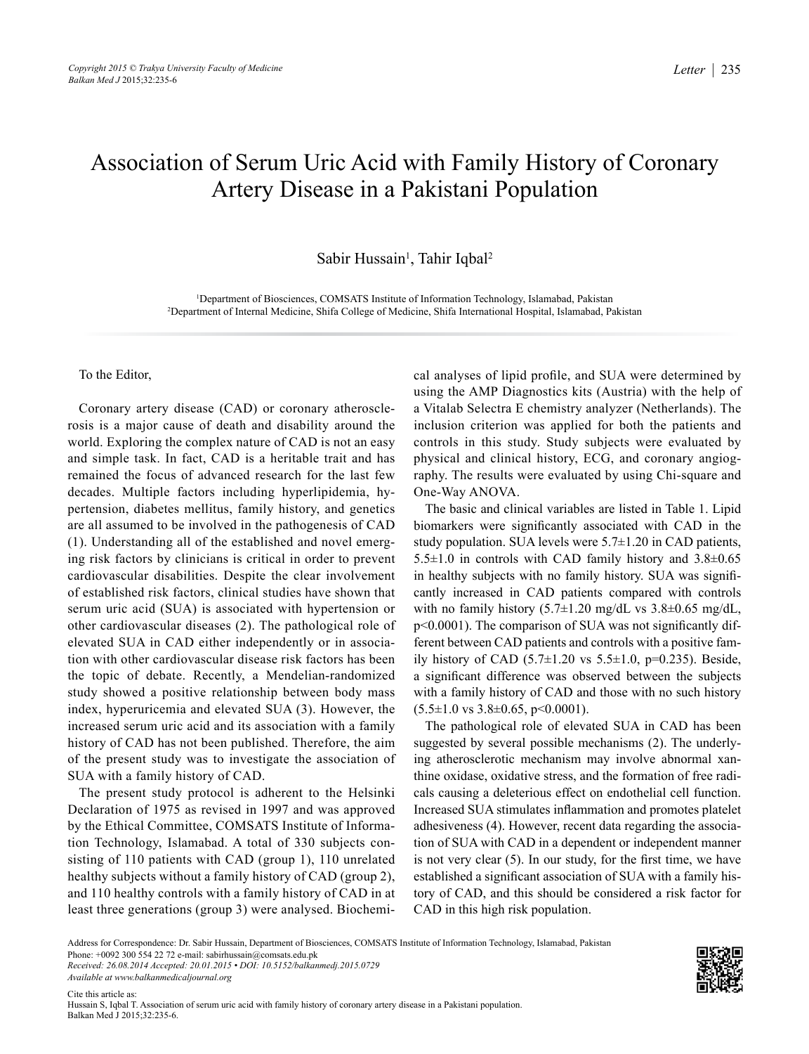## Association of Serum Uric Acid with Family History of Coronary Artery Disease in a Pakistani Population

Sabir Hussain<sup>1</sup>, Tahir Iqbal<sup>2</sup>

1 Department of Biosciences, COMSATS Institute of Information Technology, Islamabad, Pakistan 2 Department of Internal Medicine, Shifa College of Medicine, Shifa International Hospital, Islamabad, Pakistan

To the Editor,

Coronary artery disease (CAD) or coronary atherosclerosis is a major cause of death and disability around the world. Exploring the complex nature of CAD is not an easy and simple task. In fact, CAD is a heritable trait and has remained the focus of advanced research for the last few decades. Multiple factors including hyperlipidemia, hypertension, diabetes mellitus, family history, and genetics are all assumed to be involved in the pathogenesis of CAD (1). Understanding all of the established and novel emerging risk factors by clinicians is critical in order to prevent cardiovascular disabilities. Despite the clear involvement of established risk factors, clinical studies have shown that serum uric acid (SUA) is associated with hypertension or other cardiovascular diseases (2). The pathological role of elevated SUA in CAD either independently or in association with other cardiovascular disease risk factors has been the topic of debate. Recently, a Mendelian-randomized study showed a positive relationship between body mass index, hyperuricemia and elevated SUA (3). However, the increased serum uric acid and its association with a family history of CAD has not been published. Therefore, the aim of the present study was to investigate the association of SUA with a family history of CAD.

The present study protocol is adherent to the Helsinki Declaration of 1975 as revised in 1997 and was approved by the Ethical Committee, COMSATS Institute of Information Technology, Islamabad. A total of 330 subjects consisting of 110 patients with CAD (group 1), 110 unrelated healthy subjects without a family history of CAD (group 2), and 110 healthy controls with a family history of CAD in at least three generations (group 3) were analysed. Biochemical analyses of lipid profile, and SUA were determined by using the AMP Diagnostics kits (Austria) with the help of a Vitalab Selectra E chemistry analyzer (Netherlands). The inclusion criterion was applied for both the patients and controls in this study. Study subjects were evaluated by physical and clinical history, ECG, and coronary angiography. The results were evaluated by using Chi-square and One-Way ANOVA.

The basic and clinical variables are listed in Table 1. Lipid biomarkers were significantly associated with CAD in the study population. SUA levels were  $5.7\pm1.20$  in CAD patients, 5.5±1.0 in controls with CAD family history and 3.8±0.65 in healthy subjects with no family history. SUA was significantly increased in CAD patients compared with controls with no family history  $(5.7\pm1.20 \text{ mg/dL vs } 3.8\pm0.65 \text{ mg/dL})$ , p<0.0001). The comparison of SUA was not significantly different between CAD patients and controls with a positive family history of CAD  $(5.7\pm1.20 \text{ vs } 5.5\pm1.0, \text{ p=0.235})$ . Beside, a significant difference was observed between the subjects with a family history of CAD and those with no such history  $(5.5\pm1.0 \text{ vs } 3.8\pm0.65, \text{ p} < 0.0001).$ 

The pathological role of elevated SUA in CAD has been suggested by several possible mechanisms (2). The underlying atherosclerotic mechanism may involve abnormal xanthine oxidase, oxidative stress, and the formation of free radicals causing a deleterious effect on endothelial cell function. Increased SUA stimulates inflammation and promotes platelet adhesiveness (4). However, recent data regarding the association of SUA with CAD in a dependent or independent manner is not very clear (5). In our study, for the first time, we have established a significant association of SUA with a family history of CAD, and this should be considered a risk factor for CAD in this high risk population.

*Available at www.balkanmedicaljournal.org*



Address for Correspondence: Dr. Sabir Hussain, Department of Biosciences, COMSATS Institute of Information Technology, Islamabad, Pakistan Phone: +0092 300 554 22 72 e-mail: sabirhussain@comsats.edu.pk *Received: 26.08.2014 Accepted: 20.01.2015 • DOI: 10.5152/balkanmedj.2015.0729*